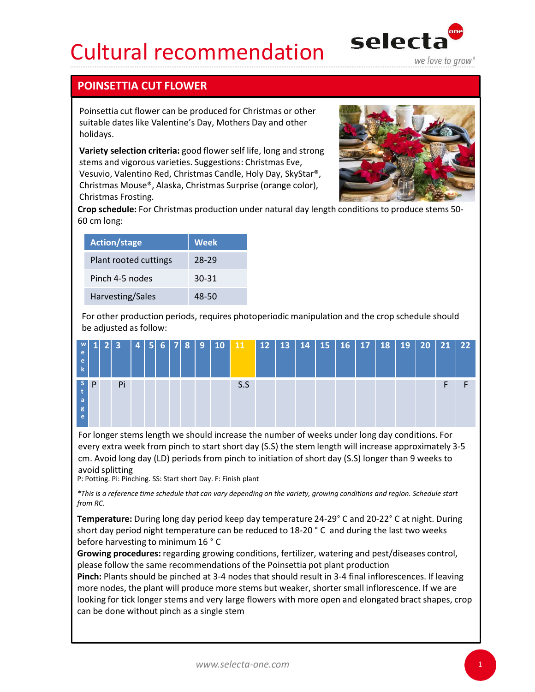## Cultural recommendation selecta



## POINSETTIA CUT FLOWER

Poinsettia cut flower can be produced for Christmas or other suitable dates like Valentine's Day, Mothers Day and other holidays.

Variety selection criteria: good flower self life, long and strong stems and vigorous varieties. Suggestions: Christmas Eve, Vesuvio, Valentino Red, Christmas Candle, Holy Day, SkyStar®, Christmas Mouse®, Alaska, Christmas Surprise (orange color), Christmas Frosting.



Crop schedule: For Christmas production under natural day length conditions to produce stems 50- 60 cm long:

| <b>Action/stage</b>   | <b>Week</b> |
|-----------------------|-------------|
| Plant rooted cuttings | 28-29       |
| Pinch 4-5 nodes       | 30-31       |
| Harvesting/Sales      | 48-50       |

For other production periods, requires photoperiodic manipulation and the crop schedule should be adjusted as follow:



For longer stems length we should increase the number of weeks under long day conditions. For every extra week from pinch to start short day (S.S) the stem length will increase approximately 3-5 cm. Avoid long day (LD) periods from pinch to initiation of short day (S.S) longer than 9 weeks to avoid splitting

P: Potting. Pi: Pinching. SS: Start short Day. F: Finish plant

\*This is a reference time schedule that can vary depending on the variety, growing conditions and region. Schedule start from RC.

Growing procedures: regarding growing conditions, fertilizer, watering and pest/diseases control, please follow the same recommendations of the Poinsettia pot plant production

Pinch: Plants should be pinched at 3-4 nodes that should result in 3-4 final inflorescences. If leaving more nodes, the plant will produce more stems but weaker, shorter small inflorescence. If we are looking for tick longer stems and very large flowers with more open and elongated bract shapes, crop **Example 12**<br>
For longer stems length we should increase the number of weeks under long day cond<br>
every extra week from pinch to start short day (S.S) the stem length will increase approximated as a single day (LD) period

1. September 1988